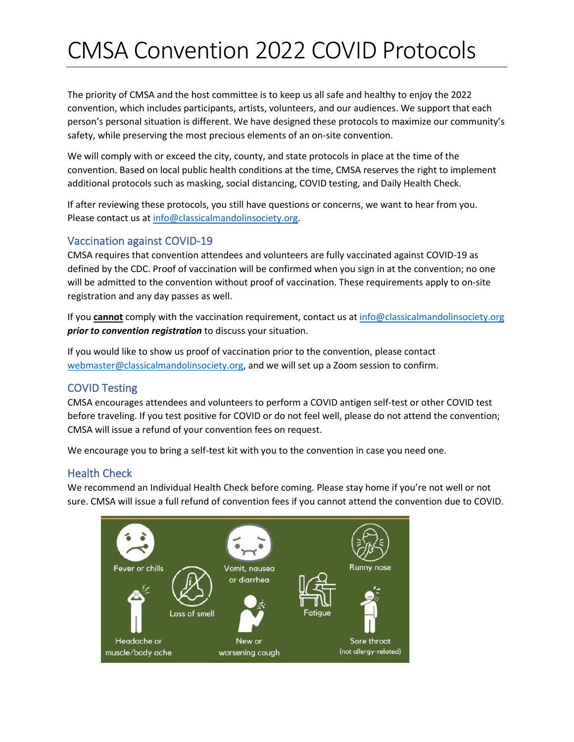# CMSA Convention 2022 COVID Protocols

The priority of CMSA and the host committee is to keep us all safe and healthy to enjoy the 2022 convention, which includes participants, artists, volunteers, and our audiences. We support that each person's personal situation is different. We have designed these protocols to maximize our community's safety, while preserving the most precious elements of an on-site convention.

We will comply with or exceed the city, county, and state protocols in place at the time of the convention. Based on local public health conditions at the time, CMSA reserves the right to implement additional protocols such as masking, social distancing, COVID testing, and Daily Health Check.

If after reviewing these protocols, you still have questions or concerns, we want to hear from you. Please contact us at info@classicalmandolinsociety.org.

## Vaccination against COVID-19

CMSA requires that convention attendees and volunteers are fully vaccinated against COVID-19 as defined by the CDC. Proof of vaccination will be confirmed when you sign in at the convention; no one will be admitted to the convention without proof of vaccination. These requirements apply to on-site registration and any day passes as well.

If you **cannot** comply with the vaccination requirement, contact us at info@classicalmandolinsociety.org *prior to convention registration* to discuss your situation.

If you would like to show us proof of vaccination prior to the convention, please contact webmaster@classicalmandolinsociety.org, and we will set up a Zoom session to confirm.

#### COVID Testing

CMSA encourages attendees and volunteers to perform a COVID antigen self-test or other COVID test before traveling. If you test positive for COVID or do not feel well, please do not attend the convention; CMSA will issue a refund of your convention fees on request.

We encourage you to bring a self-test kit with you to the convention in case you need one.

#### Health Check

We recommend an Individual Health Check before coming. Please stay home if you're not well or not sure. CMSA will issue a full refund of convention fees if you cannot attend the convention due to COVID.